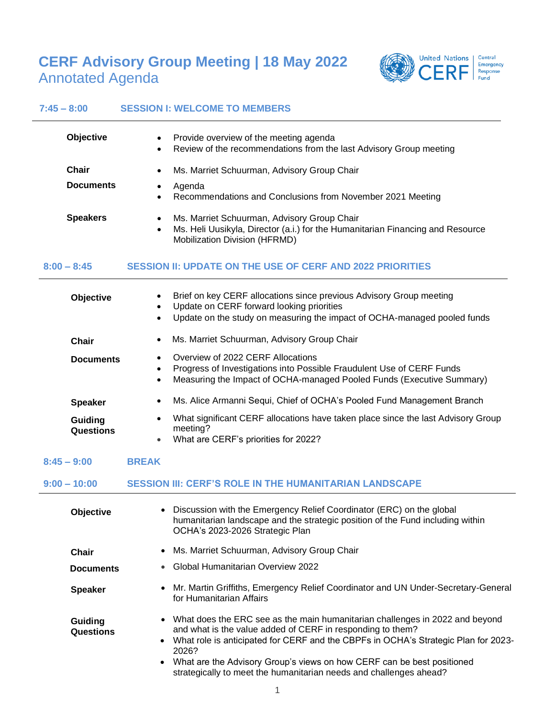# **CERF Advisory Group Meeting | 18 May 2022** Annotated Agenda



### **7:45 – 8:00 SESSION I: WELCOME TO MEMBERS**

| <b>Objective</b>          | Provide overview of the meeting agenda<br>$\bullet$<br>Review of the recommendations from the last Advisory Group meeting<br>$\bullet$                                      |
|---------------------------|-----------------------------------------------------------------------------------------------------------------------------------------------------------------------------|
| Chair<br><b>Documents</b> | Ms. Marriet Schuurman, Advisory Group Chair<br>$\bullet$<br>Agenda<br>Recommendations and Conclusions from November 2021 Meeting<br>$\bullet$                               |
| <b>Speakers</b>           | Ms. Marriet Schuurman, Advisory Group Chair<br>Ms. Heli Uusikyla, Director (a.i.) for the Humanitarian Financing and Resource<br>$\bullet$<br>Mobilization Division (HFRMD) |

## **8:00 – 8:45 SESSION II: UPDATE ON THE USE OF CERF AND 2022 PRIORITIES**

| <b>Objective</b>     | Brief on key CERF allocations since previous Advisory Group meeting<br>Update on CERF forward looking priorities<br>$\bullet$<br>Update on the study on measuring the impact of OCHA-managed pooled funds<br>$\bullet$ |
|----------------------|------------------------------------------------------------------------------------------------------------------------------------------------------------------------------------------------------------------------|
| Chair                | Ms. Marriet Schuurman, Advisory Group Chair<br>$\bullet$                                                                                                                                                               |
| <b>Documents</b>     | Overview of 2022 CERF Allocations<br>Progress of Investigations into Possible Fraudulent Use of CERF Funds<br>$\bullet$<br>Measuring the Impact of OCHA-managed Pooled Funds (Executive Summary)<br>$\bullet$          |
| <b>Speaker</b>       | Ms. Alice Armanni Sequi, Chief of OCHA's Pooled Fund Management Branch<br>$\bullet$                                                                                                                                    |
| Guiding<br>Questions | What significant CERF allocations have taken place since the last Advisory Group<br>$\bullet$<br>meeting?<br>What are CERF's priorities for 2022?<br>$\bullet$                                                         |

**8:45 – 9:00 BREAK**

#### **9:00 – 10:00 SESSION III: CERF'S ROLE IN THE HUMANITARIAN LANDSCAPE**

| <b>Objective</b>            | Discussion with the Emergency Relief Coordinator (ERC) on the global<br>humanitarian landscape and the strategic position of the Fund including within<br>OCHA's 2023-2026 Strategic Plan                                                                                                                                                                                                                |
|-----------------------------|----------------------------------------------------------------------------------------------------------------------------------------------------------------------------------------------------------------------------------------------------------------------------------------------------------------------------------------------------------------------------------------------------------|
| Chair                       | • Ms. Marriet Schuurman, Advisory Group Chair                                                                                                                                                                                                                                                                                                                                                            |
| <b>Documents</b>            | Global Humanitarian Overview 2022                                                                                                                                                                                                                                                                                                                                                                        |
| <b>Speaker</b>              | Mr. Martin Griffiths, Emergency Relief Coordinator and UN Under-Secretary-General<br>for Humanitarian Affairs                                                                                                                                                                                                                                                                                            |
| Guiding<br><b>Questions</b> | • What does the ERC see as the main humanitarian challenges in 2022 and beyond<br>and what is the value added of CERF in responding to them?<br>What role is anticipated for CERF and the CBPFs in OCHA's Strategic Plan for 2023-<br>2026?<br>What are the Advisory Group's views on how CERF can be best positioned<br>$\bullet$<br>strategically to meet the humanitarian needs and challenges ahead? |